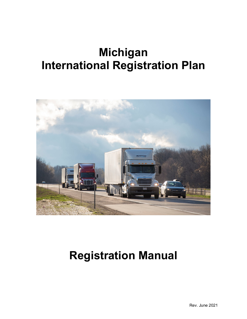# **Michigan International Registration Plan**



## **Registration Manual**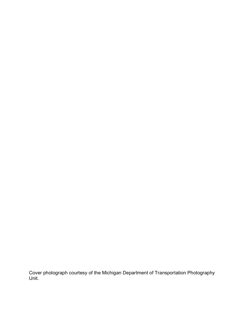Cover photograph courtesy of the Michigan Department of Transportation Photography Unit.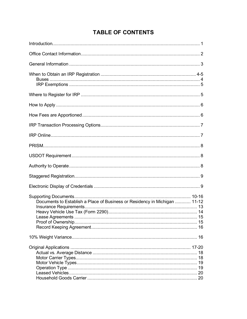## **TABLE OF CONTENTS**

| Documents to Establish a Place of Business or Residency in Michigan  11-12 |  |
|----------------------------------------------------------------------------|--|
|                                                                            |  |
|                                                                            |  |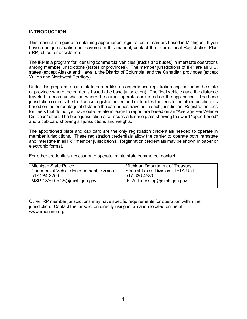## **INTRODUCTION**

This manual is a guide to obtaining apportioned registration for carriers based in Michigan. If you have a unique situation not covered in this manual, contact the International Registration Plan (IRP) office for assistance.

The IRP is a program for licensing commercial vehicles (trucks and buses) in interstate operations among member jurisdictions (states or provinces). The member jurisdictions of IRP are all U.S. states (except Alaska and Hawaii), the District of Columbia, and the Canadian provinces (except Yukon and Northwest Territory).

Under this program, an interstate carrier files an apportioned registration application in the state or province where the carrier is based (the base jurisdiction). The fleet vehicles and the distance traveled in each jurisdiction where the carrier operates are listed on the application. The base jurisdiction collects the full license registration fee and distributes the fees to the other jurisdictions based on the percentage of distance the carrier has traveled in each jurisdiction. Registration fees for fleets that do not yet have out-of-state mileage to report are based on an "Average Per Vehicle Distance" chart. The base jurisdiction also issues a license plate showing the word "apportioned" and a cab card showing all jurisdictions and weights.

The apportioned plate and cab card are the only registration credentials needed to operate in member jurisdictions. These registration credentials allow the carrier to operate both intrastate and interstate in all IRP member jurisdictions. Registration credentials may be shown in paper or electronic format.

For other credentials necessary to operate in interstate commerce, contact:

| Michigan State Police                          | Michigan Department of Treasury    |
|------------------------------------------------|------------------------------------|
| <b>Commercial Vehicle Enforcement Division</b> | Special Taxes Division - IFTA Unit |
| 517-284-3250                                   | 517-636-4580                       |
| MSP-CVED-RCS@michigan.gov                      | IFTA Licensing@michigan.gov        |
|                                                |                                    |

Other IRP member jurisdictions may have specific requirements for operation within the jurisdiction. Contact the jurisdiction directly using information located online at [www.irponline.org.](http://www.irponline.org/)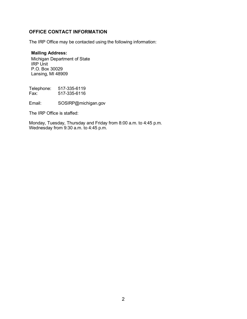## **OFFICE CONTACT INFORMATION**

The IRP Office may be contacted using the following information:

## **Mailing Address:**

Michigan Department of State IRP Unit P.O. Box 30029 Lansing, MI 48909

Telephone: 517-335-6119<br>Fax: 517-335-6116 Fax: 517-335-6116

Email: SOSIRP@michigan.gov

The IRP Office is staffed:

Monday, Tuesday, Thursday and Friday from 8:00 a.m. to 4:45 p.m. Wednesday from 9:30 a.m. to 4:45 p.m.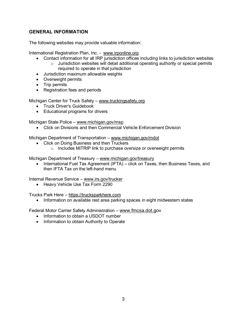## **GENERAL INFORMATION**

The following websites may provide valuable information:

International Registration Plan, Inc. - [www.irponline.org](http://www.irponline.org/)

- Contact information for all IRP jurisdiction offices including links to jurisdiction websites  $\circ$  Jurisdiction websites will detail additional operating authority or special permits required to operate in that jurisdiction
- Jurisdiction maximum allowable weights
- Overweight permits
- Trip permits
- Registration fees and periods

Michigan Center for Truck Safety – [www.truckingsafety.org](http://www.truckingsafety.org/)

- Truck Driver's Guidebook
- Educational programs for drivers

Michigan State Police – [www.michigan.gov/msp](http://www.michigan.gov/msp)

• Click on Divisions and then Commercial Vehicle Enforcement Division

Michigan Department of Transportation – [www.michigan.gov/mdot](http://www.michigan.gov/mdot)

- Click on Doing Business and then Truckers
	- o Includes MiTRIP link to purchase oversize or overweight permits

Michigan Department of Treasury – [www.michigan.gov/treasury](http://www.michigan.gov/treasury)

• International Fuel Tax Agreement (IFTA) – click on Taxes, then Business Taxes, and then IFTA Tax on the left-hand menu

Internal Revenue Service – [www.irs.gov/trucker](http://www.irs.gov/trucker)

• Heavy Vehicle Use Tax Form 2290

Trucks Park Here – [https://trucksparkhere.com](https://trucksparkhere.com/)

• Information on available rest area parking spaces in eight midwestern states

Federal Motor Carrier Safety Administration - [www.fmcsa.dot.go](http://www.fmcsa.dot.g/)v

- Information to obtain a USDOT number
- Information to obtain Authority to Operate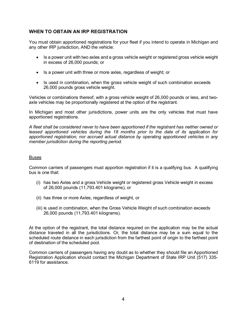## **WHEN TO OBTAIN AN IRP REGISTRATION**

You must obtain apportioned registrations for your fleet if you intend to operate in Michigan and any other IRP jurisdiction, AND the vehicle:

- Is a power unit with two axles and a gross vehicle weight or registered gross vehicle weight in excess of 26,000 pounds; or
- Is a power unit with three or more axles, regardless of weight; or
- Is used in combination, when the gross vehicle weight of such combination exceeds 26,000 pounds gross vehicle weight.

Vehicles or combinations thereof, with a gross vehicle weight of 26,000 pounds or less, and twoaxle vehicles may be proportionally registered at the option of the registrant.

In Michigan and most other jurisdictions, power units are the only vehicles that must have apportioned registrations.

*A fleet shall be considered never to have been apportioned if the registrant has neither owned or leased apportioned vehicles during the 18 months prior to the date of its application for apportioned registration, nor accrued actual distance by operating apportioned vehicles in any member jurisdiction during the reporting period.*

#### Buses

Common carriers of passengers must apportion registration if it is a qualifying bus. A qualifying bus is one that:

- (i) has two Axles and a gross Vehicle weight or registered gross Vehicle weight in excess of 26,000 pounds (11,793.401 kilograms), or
- (ii) has three or more Axles, regardless of weight, or
- (iii) is used in combination, when the Gross Vehicle Weight of such combination exceeds 26,000 pounds (11,793.401 kilograms).

At the option of the registrant, the total distance required on the application may be the actual distance traveled in all the jurisdictions. Or, the total distance may be a sum equal to the scheduled route distance in each jurisdiction from the farthest point of origin to the farthest point of destination of the scheduled pool.

Common carriers of passengers having any doubt as to whether they should file an Apportioned Registration Application should contact the Michigan Department of State IRP Unit (517) 335- 6119 for assistance.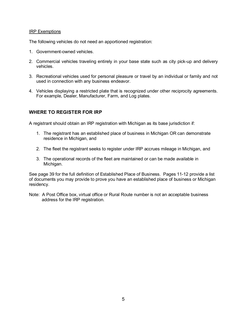#### IRP Exemptions

The following vehicles do not need an apportioned registration:

- 1. Government-owned vehicles.
- 2. Commercial vehicles traveling entirely in your base state such as city pick-up and delivery vehicles.
- 3. Recreational vehicles used for personal pleasure or travel by an individual or family and not used in connection with any business endeavor.
- 4. Vehicles displaying a restricted plate that is recognized under other reciprocity agreements. For example, Dealer, Manufacturer, Farm, and Log plates.

## **WHERE TO REGISTER FOR IRP**

A registrant should obtain an IRP registration with Michigan as its base jurisdiction if:

- 1. The registrant has an established place of business in Michigan OR can demonstrate residence in Michigan, and
- 2. The fleet the registrant seeks to register under IRP accrues mileage in Michigan, and
- 3. The operational records of the fleet are maintained or can be made available in Michigan.

See page 39 for the full definition of Established Place of Business. Pages 11-12 provide a list of documents you may provide to prove you have an established place of business or Michigan residency.

Note: A Post Office box, virtual office or Rural Route number is not an acceptable business address for the IRP registration.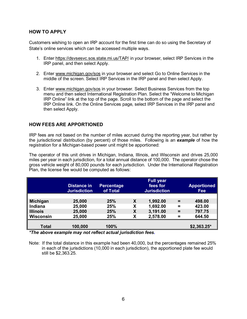## **HOW TO APPLY**

Customers wishing to open an IRP account for the first time can do so using the Secretary of State's online services which can be accessed multiple ways.

- 1. Enter <https://dsvsesvc.sos.state.mi.us/TAP/> in your browser, select IRP Services in the IRP panel, and then select Apply.
- 2. Enter [www.michigan.gov/sos](http://www.michigan.gov/sos) in your browser and select Go to Online Services in the middle of the screen. Select IRP Services in the IRP panel and then select Apply.
- 3. Enter [www.michigan.gov/sos](http://www.michigan.gov/sos) in your browser. Select Business Services from the top menu and then select International Registration Plan. Select the "Welcome to Michigan IRP Online" link at the top of the page. Scroll to the bottom of the page and select the IRP Online link. On the Online Services page, select IRP Services in the IRP panel and then select Apply.

## **HOW FEES ARE APPORTIONED**

IRP fees are not based on the number of miles accrued during the reporting year, but rather by the jurisdictional distribution (by percent) of those miles. Following is an *example* of how the registration for a Michigan-based power unit might be apportioned:

The operator of this unit drives in Michigan, Indiana, Illinois, and Wisconsin and drives 25,000 miles per year in each jurisdiction, for a total annual distance of 100,000. The operator chose the gross vehicle weight of 80,000 pounds for each jurisdiction. Under the International Registration Plan, the license fee would be computed as follows:

|                  | <b>Distance in</b><br><b>Jurisdiction</b> | Percentage<br>of Total |   | <b>Full year</b><br>fees for<br><b>Jurisdiction</b> |          | <b>Apportioned</b><br><b>Fee</b> |
|------------------|-------------------------------------------|------------------------|---|-----------------------------------------------------|----------|----------------------------------|
|                  |                                           |                        |   |                                                     |          |                                  |
| Michigan         | 25,000                                    | 25%                    | X | 1,992.00                                            | $=$      | 498.00                           |
| Indiana          | 25,000                                    | 25%                    | χ | 1,692.00                                            | $\equiv$ | 423.00                           |
| <b>Illinois</b>  | 25,000                                    | 25%                    | X | 3,191.00                                            | $=$      | 797.75                           |
| <b>Wisconsin</b> | 25,000                                    | 25%                    | χ | 2,578.00                                            | =        | 644.50                           |
|                  |                                           |                        |   |                                                     |          |                                  |
| <b>Total</b>     | 100,000                                   | 100%                   |   |                                                     |          | $$2,363.25$ *                    |

*\*The above example may not reflect actual jurisdiction fees.*

Note: If the total distance in this example had been 40,000, but the percentages remained 25% in each of the jurisdictions (10,000 in each jurisdiction), the apportioned plate fee would still be \$2,363.25.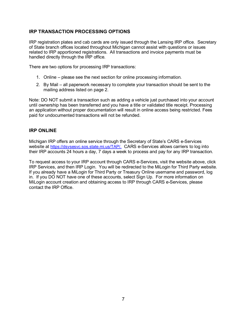## **IRP TRANSACTION PROCESSING OPTIONS**

IRP registration plates and cab cards are only issued through the Lansing IRP office. Secretary of State branch offices located throughout Michigan cannot assist with questions or issues related to IRP apportioned registrations. All transactions and invoice payments must be handled directly through the IRP office.

There are two options for processing IRP transactions:

- 1. Online please see the next section for online processing information.
- 2. By Mail all paperwork necessary to complete your transaction should be sent to the mailing address listed on page 2.

Note: DO NOT submit a transaction such as adding a vehicle just purchased into your account until ownership has been transferred and you have a title or validated title receipt. Processing an application without proper documentation will result in online access being restricted. Fees paid for undocumented transactions will not be refunded.

## **IRP ONLINE**

Michigan IRP offers an online service through the Secretary of State's CARS e-Services website at [https://dsvsesvc.sos.state.mi.us/TAP/.](https://dsvsesvc.sos.state.mi.us/TAP/) CARS e-Services allows carriers to log into their IRP accounts 24 hours a day, 7 days a week to process and pay for any IRP transaction.

To request access to your IRP account through CARS e-Services, visit the website above, click IRP Services, and then IRP Login. You will be redirected to the MiLogin for Third Party website. If you already have a MiLogin for Third Party or Treasury Online username and password, log in. If you DO NOT have one of these accounts, select Sign Up. For more information on MiLogin account creation and obtaining access to IRP through CARS e-Services, please contact the IRP Office.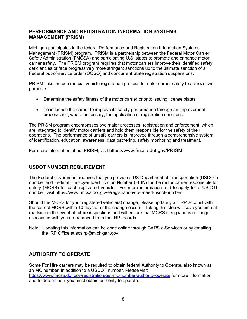## **PERFORMANCE AND REGISTRATION INFORMATION SYSTEMS MANAGEMENT (PRISM)**

Michigan participates in the federal Performance and Registration Information Systems Management (PRISM) program. PRISM is a partnership between the Federal Motor Carrier Safety Administration (FMCSA) and participating U.S. states to promote and enhance motor carrier safety. The PRISM program requires that motor carriers improve their identified safety deficiencies or face progressively more stringent sanctions up to the ultimate sanction of a Federal out-of-service order (OOSO) and concurrent State registration suspensions.

PRISM links the commercial vehicle registration process to motor carrier safety to achieve two purposes:

- Determine the safety fitness of the motor carrier prior to issuing license plates
- To influence the carrier to improve its safety performance through an improvement process and, where necessary, the application of registration sanctions.

The PRISM program encompasses two major processes, registration and enforcement, which are integrated to identify motor carriers and hold them responsible for the safety of their operations. The performance of unsafe carriers is improved through a comprehensive system of identification, education, awareness, data gathering, safety monitoring and treatment.

For more information about PRISM, visit https://www.fmcsa.dot.gov/PRISM.

## **USDOT NUMBER REQUIREMENT**

The Federal government requires that you provide a US Department of Transportation (USDOT) number and Federal Employer Identification Number (FEIN) for the motor carrier responsible for safety (MCRS) for each registered vehicle. For more information and to apply for a USDOT number, visit https://www.fmcsa.dot.gove/registration/do-i-need-usdot-number.

Should the MCRS for your registered vehicle(s) change, please update your IRP account with the correct MCRS within 10 days after the change occurs. Taking this step will save you time at roadside in the event of future inspections and will ensure that MCRS designations no longer associated with you are removed from the IRP records.

Note: Updating this information can be done online through CARS e-Services or by emailing the IRP Office at [sosirp@michigan.gov.](mailto:sosirp@michigan.gov)

## **AUTHORITY TO OPERATE**

Some For Hire carriers may be required to obtain federal Authority to Operate, also known as an MC number, in addition to a USDOT number. Please visit <https://www.fmcsa.dot.gov/registration/get-mc-number-authority-operate> for more information and to determine if you must obtain authority to operate.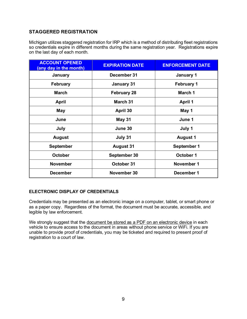## **STAGGERED REGISTRATION**

Michigan utilizes staggered registration for IRP which is a method of distributing fleet registrations so credentials expire in different months during the same registration year. Registrations expire on the last day of each month.

| <b>ACCOUNT OPENED</b><br>(any day in the month) | <b>EXPIRATION DATE</b> | <b>ENFORCEMENT DATE</b> |
|-------------------------------------------------|------------------------|-------------------------|
| January                                         | December 31            | January 1               |
| <b>February</b>                                 | <b>January 31</b>      | <b>February 1</b>       |
| <b>March</b>                                    | <b>February 28</b>     | March 1                 |
| <b>April</b>                                    | <b>March 31</b>        | <b>April 1</b>          |
| <b>May</b>                                      | April 30               | May 1                   |
| June                                            | <b>May 31</b>          | June 1                  |
| July                                            | June 30                | July 1                  |
| <b>August</b>                                   | July 31                | <b>August 1</b>         |
| <b>September</b>                                | <b>August 31</b>       | September 1             |
| <b>October</b>                                  | September 30           | October 1               |
| <b>November</b>                                 | October 31             | November 1              |
| <b>December</b>                                 | November 30            | December 1              |

#### **ELECTRONIC DISPLAY OF CREDENTIALS**

Credentials may be presented as an electronic image on a computer, tablet, or smart phone or as a paper copy. Regardless of the format, the document must be accurate, accessible, and legible by law enforcement.

We strongly suggest that the document be stored as a PDF on an electronic device in each vehicle to ensure access to the document in areas without phone service or WiFi. If you are unable to provide proof of credentials, you may be ticketed and required to present proof of registration to a court of law.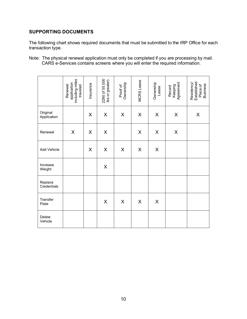## **SUPPORTING DOCUMENTS**

The following chart shows required documents that must be submitted to the IRP Office for each transaction type.

Note: The physical renewal application must only be completed if you are processing by mail. CARS e-Services contains screens where you will enter the required information.

|                         | including miles<br>application<br>traveled<br>Renewal | Insurance | 2290 (if 55.000<br>Ibs or greater) | Ownership<br>Proof of | MCRS Lease | Ownership<br>Lease | Agreement<br>Keeping<br>Record | Established<br>Residency<br>Place of<br>Business |
|-------------------------|-------------------------------------------------------|-----------|------------------------------------|-----------------------|------------|--------------------|--------------------------------|--------------------------------------------------|
| Original<br>Application |                                                       | X         | X                                  | X                     | X          | X                  | X                              | $\pmb{\mathsf{X}}$                               |
| Renewal                 | X                                                     | X         | X                                  |                       | X          | X                  | X                              |                                                  |
| Add Vehicle             |                                                       | X         | X                                  | X                     | X          | X                  |                                |                                                  |
| Increase<br>Weight      |                                                       |           | $\pmb{\mathsf{X}}$                 |                       |            |                    |                                |                                                  |
| Replace<br>Credentials  |                                                       |           |                                    |                       |            |                    |                                |                                                  |
| Transfer<br>Plate       |                                                       |           | $\pmb{\mathsf{X}}$                 | X                     | X          | X                  |                                |                                                  |
| Delete<br>Vehicle       |                                                       |           |                                    |                       |            |                    |                                |                                                  |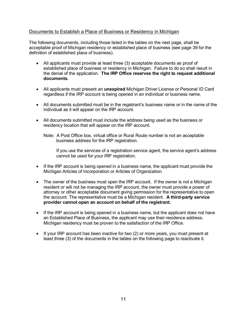## Documents to Establish a Place of Business or Residency in Michigan

The following documents, including those listed in the tables on the next page, shall be acceptable proof of Michigan residency or established place of business (see page 39 for the definition of established place of business).

- All applicants must provide at least three (3) acceptable documents as proof of established place of business or residency in Michigan. Failure to do so shall result in the denial of the application. **The IRP Office reserves the right to request additional documents.**
- All applicants must present an **unexpired** Michigan Driver License or Personal ID Card regardless if the IRP account is being opened in an individual or business name.
- All documents submitted must be in the registrant's business name or in the name of the individual as it will appear on the IRP account.
- All documents submitted must include the address being used as the business or residency location that will appear on the IRP account.

If you use the services of a registration service agent, the service agent's address cannot be used for your IRP registration.

- If the IRP account is being opened in a business name, the applicant must provide the Michigan Articles of Incorporation or Articles of Organization.
- The owner of the business must open the IRP account. If the owner is not a Michigan resident or will not be managing the IRP account, the owner must provide a power of attorney or other acceptable document giving permission for the representative to open the account. The representative must be a Michigan resident. **A third-party service provider cannot open an account on behalf of the registrant.**
- If the IRP account is being opened in a business name, but the applicant does not have an Established Place of Business, the applicant may use their residence address. Michigan residency must be proven to the satisfaction of the IRP Office.
- If your IRP account has been inactive for two (2) or more years, you must present at least three (3) of the documents in the tables on the following page to reactivate it.

Note: A Post Office box, virtual office or Rural Route number is not an acceptable business address for the IRP registration.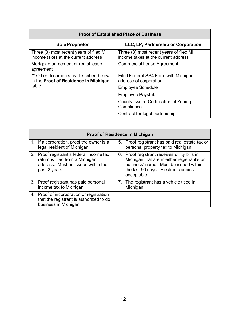| <b>Proof of Established Place of Business</b>                                            |                                                                                |  |  |
|------------------------------------------------------------------------------------------|--------------------------------------------------------------------------------|--|--|
| <b>Sole Proprietor</b>                                                                   | LLC, LP, Partnership or Corporation                                            |  |  |
| Three (3) most recent years of filed MI<br>income taxes at the current address           | Three (3) most recent years of filed MI<br>income taxes at the current address |  |  |
| Mortgage agreement or rental lease<br>agreement                                          | <b>Commercial Lease Agreement</b>                                              |  |  |
| ** Other documents as described below<br>in the Proof of Residence in Michigan<br>table. | Filed Federal SS4 Form with Michigan<br>address of corporation                 |  |  |
|                                                                                          | <b>Employee Schedule</b>                                                       |  |  |
|                                                                                          | <b>Employee Paystub</b>                                                        |  |  |
|                                                                                          | County Issued Certification of Zoning<br>Compliance                            |  |  |
|                                                                                          | Contract for legal partnership                                                 |  |  |

| <b>Proof of Residence in Michigan</b>                                                                                              |  |                                                                                                                                                                                            |  |  |  |
|------------------------------------------------------------------------------------------------------------------------------------|--|--------------------------------------------------------------------------------------------------------------------------------------------------------------------------------------------|--|--|--|
| 1. If a corporation, proof the owner is a<br>legal resident of Michigan                                                            |  | 5. Proof registrant has paid real estate tax or<br>personal property tax to Michigan                                                                                                       |  |  |  |
| 2. Proof registrant's federal income tax<br>return is filed from a Michigan<br>address. Must be issued within the<br>past 2 years. |  | 6. Proof registrant receives utility bills in<br>Michigan that are in either registrant's or<br>business' name. Must be issued within<br>the last 90 days. Electronic copies<br>acceptable |  |  |  |
| 3. Proof registrant has paid personal<br>income tax to Michigan                                                                    |  | 7. The registrant has a vehicle titled in<br>Michigan                                                                                                                                      |  |  |  |
| 4. Proof of incorporation or registration<br>that the registrant is authorized to do<br>business in Michigan                       |  |                                                                                                                                                                                            |  |  |  |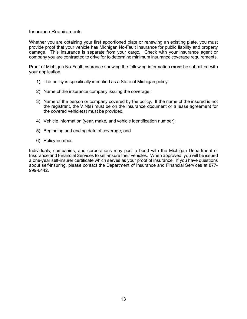#### Insurance Requirements

Whether you are obtaining your first apportioned plate or renewing an existing plate, you must provide proof that your vehicle has Michigan No-Fault Insurance for public liability and property damage. This insurance is separate from your cargo. Check with your insurance agent or company you are contracted to drive for to determine minimum insurance coverage requirements.

Proof of Michigan No-Fault Insurance showing the following information **must** be submitted with your application.

- 1) The policy is specifically identified as a State of Michigan policy.
- 2) Name of the insurance company issuing the coverage;
- 3) Name of the person or company covered by the policy. If the name of the insured is not the registrant, the VIN(s) must be on the insurance document or a lease agreement for the covered vehicle(s) must be provided.
- 4) Vehicle information (year, make, and vehicle identification number);
- 5) Beginning and ending date of coverage; and
- 6) Policy number.

Individuals, companies, and corporations may post a bond with the Michigan Department of Insurance and Financial Services to self-insure their vehicles. When approved, you will be issued a one-year self-insurer certificate which serves as your proof of insurance. If you have questions about self-insuring, please contact the Department of Insurance and Financial Services at 877- 999-6442.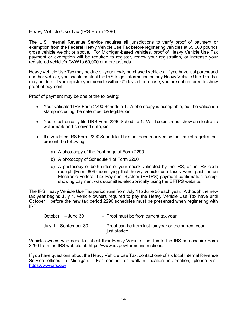#### Heavy Vehicle Use Tax (IRS Form 2290)

The U.S. Internal Revenue Service requires all jurisdictions to verify proof of payment or exemption from the Federal Heavy Vehicle Use Tax before registering vehicles at 55,000 pounds gross vehicle weight or above. For Michigan-based vehicles, proof of Heavy Vehicle Use Tax payment or exemption will be required to register, renew your registration, or increase your registered vehicle's GVW to 60,000 or more pounds.

Heavy Vehicle Use Tax may be due on your newly purchased vehicles. If you have just purchased another vehicle, you should contact the IRS to get information on any Heavy Vehicle Use Tax that may be due. If you register your vehicle within 60 days of purchase, you are not required to show proof of payment.

Proof of payment may be one of the following:

- Your validated IRS Form 2290 Schedule 1. A photocopy is acceptable, but the validation stamp including the date must be legible, **or**
- Your electronically filed IRS Form 2290 Schedule 1. Valid copies must show an electronic watermark and received date, **or**
- If a validated IRS Form 2290 Schedule 1 has not been received by the time of registration, present the following:
	- a) A photocopy of the front page of Form 2290
	- b) A photocopy of Schedule 1 of Form 2290
	- c) A photocopy of both sides of your check validated by the IRS, or an IRS cash receipt (Form 809) identifying that heavy vehicle use taxes were paid, or an Electronic Federal Tax Payment System (EFTPS) payment confirmation receipt showing payment was submitted electronically using the EFTPS website.

The IRS Heavy Vehicle Use Tax period runs from July 1 to June 30 each year. Although the new tax year begins July 1, vehicle owners required to pay the Heavy Vehicle Use Tax have until October 1 before the new tax period 2290 schedules must be presented when registering with IRP.

| October 1 – June 30   | - Proof must be from current tax year.                                   |
|-----------------------|--------------------------------------------------------------------------|
| July 1 – September 30 | $-$ Proof can be from last tax year or the current year<br>just started. |

Vehicle owners who need to submit their Heavy Vehicle Use Tax to the IRS can acquire Form 2290 from the IRS website at: [https://www.irs.gov/forms-instructions.](https://www.irs.gov/forms-instructions)

If you have questions about the Heavy Vehicle Use Tax, contact one of six local Internal Revenue Service offices in Michigan. For contact or walk-in location information, please visit [https://www.irs.gov.](https://www.irs.gov/)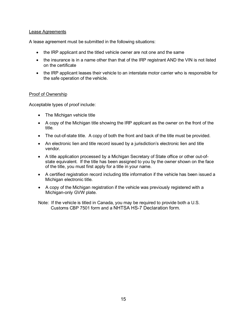#### Lease Agreements

A lease agreement must be submitted in the following situations:

- the IRP applicant and the titled vehicle owner are not one and the same
- the insurance is in a name other than that of the IRP registrant AND the VIN is not listed on the certificate
- the IRP applicant leases their vehicle to an interstate motor carrier who is responsible for the safe operation of the vehicle.

#### Proof of Ownership

Acceptable types of proof include:

- The Michigan vehicle title
- A copy of the Michigan title showing the IRP applicant as the owner on the front of the title.
- The out-of-state title. A copy of both the front and back of the title must be provided.
- An electronic lien and title record issued by a jurisdiction's electronic lien and title vendor.
- A title application processed by a Michigan Secretary of State office or other out-ofstate equivalent. If the title has been assigned to you by the owner shown on the face of the title, you must first apply for a title in your name.
- A certified registration record including title information if the vehicle has been issued a Michigan electronic title.
- A copy of the Michigan registration if the vehicle was previously registered with a Michigan-only GVW plate.

Note: If the vehicle is titled in Canada, you may be required to provide both a U.S. Customs CBP 7501 form and a NHTSA HS-7 Declaration form.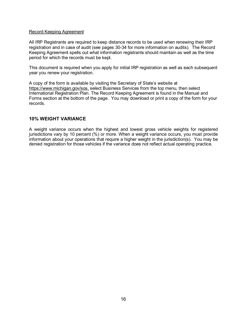#### Record Keeping Agreement

All IRP Registrants are required to keep distance records to be used when renewing their IRP registration and in case of audit (see pages 30-34 for more information on audits). The Record Keeping Agreement spells out what information registrants should maintain as well as the time period for which the records must be kept.

This document is required when you apply for initial IRP registration as well as each subsequent year you renew your registration.

A copy of the form is available by visiting the Secretary of State's website at <https://www.michigan.gov/sos,> select Business Services from the top menu, then select International Registration Plan. The Record Keeping Agreement is found in the Manual and Forms section at the bottom of the page. You may download or print a copy of the form for your records.

## **10% WEIGHT VARIANCE**

A weight variance occurs when the highest and lowest gross vehicle weights for registered jurisdictions vary by 10 percent (%) or more. When a weight variance occurs, you must provide information about your operations that require a higher weight in the jurisdiction(s). You may be denied registration for those vehicles if the variance does not reflect actual operating practice.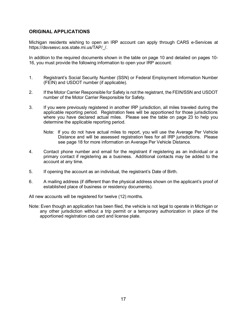## **ORIGINAL APPLICATIONS**

Michigan residents wishing to open an IRP account can apply through CARS e-Services at https://dsvsesvc.sos.state.mi.us/TAP/\_/.

In addition to the required documents shown in the table on page 10 and detailed on pages 10- 16, you must provide the following information to open your IRP account:

- 1. Registrant's Social Security Number (SSN) or Federal Employment Information Number (FEIN) and USDOT number (if applicable).
- 2. If the Motor Carrier Responsible for Safety is not the registrant, the FEIN/SSN and USDOT number of the Motor Carrier Responsible for Safety.
- 3. If you were previously registered in another IRP jurisdiction, all miles traveled during the applicable reporting period. Registration fees will be apportioned for those jurisdictions where you have declared actual miles. Please see the table on page 23 to help you determine the applicable reporting period.
	- Note: If you do not have actual miles to report, you will use the Average Per Vehicle Distance and will be assessed registration fees for all IRP jurisdictions. Please see page 18 for more information on Average Per Vehicle Distance.
- 4. Contact phone number and email for the registrant if registering as an individual or a primary contact if registering as a business. Additional contacts may be added to the account at any time.
- 5. If opening the account as an individual, the registrant's Date of Birth.
- 6. A mailing address (if different than the physical address shown on the applicant's proof of established place of business or residency documents).

All new accounts will be registered for twelve (12) months.

Note: Even though an application has been filed, the vehicle is not legal to operate in Michigan or any other jurisdiction without a trip permit or a temporary authorization in place of the apportioned registration cab card and license plate.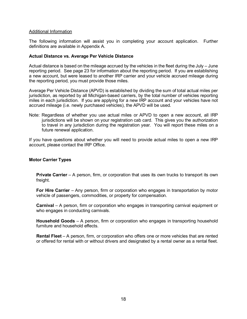#### Additional Information

The following information will assist you in completing your account application. Further definitions are available in Appendix A.

#### **Actual Distance vs. Average Per Vehicle Distance**

Actual distance is based on the mileage accrued by the vehicles in the fleet during the July – June reporting period. See page 23 for information about the reporting period. If you are establishing a new account, but were leased to another IRP carrier and your vehicle accrued mileage during the reporting period, you must provide those miles.

Average Per Vehicle Distance (APVD) is established by dividing the sum of total actual miles per jurisdiction, as reported by all Michigan-based carriers, by the total number of vehicles reporting miles in each jurisdiction. If you are applying for a new IRP account and your vehicles have not accrued mileage (i.e. newly purchased vehicles), the APVD will be used.

Note: Regardless of whether you use actual miles or APVD to open a new account, all IRP jurisdictions will be shown on your registration cab card. This gives you the authorization to travel in any jurisdiction during the registration year. You will report these miles on a future renewal application.

If you have questions about whether you will need to provide actual miles to open a new IRP account, please contact the IRP Office.

#### **Motor Carrier Types**

**Private Carrier** – A person, firm, or corporation that uses its own trucks to transport its own freight.

**For Hire Carrier** – Any person, firm or corporation who engages in transportation by motor vehicle of passengers, commodities, or property for compensation.

**Carnival** – A person, firm or corporation who engages in transporting carnival equipment or who engages in conducting carnivals.

**Household Goods** – A person, firm or corporation who engages in transporting household furniture and household effects.

**Rental Fleet** – A person, firm, or corporation who offers one or more vehicles that are rented or offered for rental with or without drivers and designated by a rental owner as a rental fleet.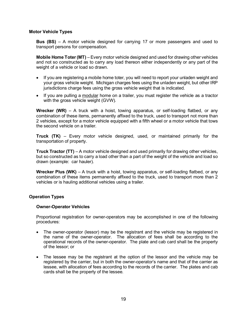#### **Motor Vehicle Types**

**Bus (BS)** – A motor vehicle designed for carrying 17 or more passengers and used to transport persons for compensation.

**Mobile Home Toter (MT)** – Every motor vehicle designed and used for drawing other vehicles and not so constructed as to carry any load thereon either independently or any part of the weight of a vehicle or load so drawn.

- If you are registering a mobile home toter, you will need to report your unladen weight and your gross vehicle weight. Michigan charges fees using the unladen weight, but other IRP jurisdictions charge fees using the gross vehicle weight that is indicated.
- If you are pulling a modular home on a trailer, you must register the vehicle as a tractor with the gross vehicle weight (GVW).

**Wrecker (WR)** – A truck with a hoist, towing apparatus, or self-loading flatbed, or any combination of these items, permanently affixed to the truck, used to transport not more than 2 vehicles, except for a motor vehicle equipped with a fifth wheel or a motor vehicle that tows the second vehicle on a trailer.

**Truck (TK)** – Every motor vehicle designed, used, or maintained primarily for the transportation of property.

**Truck Tractor (TT)** – A motor vehicle designed and used primarily for drawing other vehicles, but so constructed as to carry a load other than a part of the weight of the vehicle and load so drawn (example: car hauler).

**Wrecker Plus (WK)** – A truck with a hoist, towing apparatus, or self-loading flatbed, or any combination of these items permanently affixed to the truck, used to transport more than 2 vehicles or is hauling additional vehicles using a trailer.

#### **Operation Types**

#### **Owner-Operator Vehicles**

Proportional registration for owner-operators may be accomplished in one of the following procedures:

- The owner-operator (lessor) may be the registrant and the vehicle may be registered in the name of the owner-operator. The allocation of fees shall be according to the operational records of the owner-operator. The plate and cab card shall be the property of the lessor; or
- The lessee may be the registrant at the option of the lessor and the vehicle may be registered by the carrier, but in both the owner-operator's name and that of the carrier as lessee, with allocation of fees according to the records of the carrier. The plates and cab cards shall be the property of the lessee.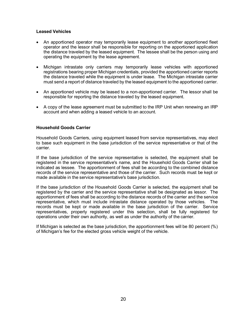#### **Leased Vehicles**

- An apportioned operator may temporarily lease equipment to another apportioned fleet operator and the lessor shall be responsible for reporting on the apportioned application the distance traveled by the leased equipment. The lessee shall be the person using and operating the equipment by the lease agreement.
- Michigan intrastate only carriers may temporarily lease vehicles with apportioned registrations bearing proper Michigan credentials, provided the apportioned carrier reports the distance traveled while the equipment is under lease. The Michigan intrastate carrier must send a report of distance traveled by the leased equipment to the apportioned carrier.
- An apportioned vehicle may be leased to a non-apportioned carrier. The lessor shall be responsible for reporting the distance traveled by the leased equipment.
- A copy of the lease agreement must be submitted to the IRP Unit when renewing an IRP account and when adding a leased vehicle to an account.

#### **Household Goods Carrier**

Household Goods Carriers, using equipment leased from service representatives, may elect to base such equipment in the base jurisdiction of the service representative or that of the carrier.

If the base jurisdiction of the service representative is selected, the equipment shall be registered in the service representative's name, and the Household Goods Carrier shall be indicated as lessee. The apportionment of fees shall be according to the combined distance records of the service representative and those of the carrier. Such records must be kept or made available in the service representative's base jurisdiction.

If the base jurisdiction of the Household Goods Carrier is selected, the equipment shall be registered by the carrier and the service representative shall be designated as lessor. The apportionment of fees shall be according to the distance records of the carrier and the service representative, which must include intrastate distance operated by those vehicles. The records must be kept or made available in the base jurisdiction of the carrier. Service representatives, properly registered under this selection, shall be fully registered for operations under their own authority, as well as under the authority of the carrier.

If Michigan is selected as the base jurisdiction, the apportionment fees will be 80 percent (%) of Michigan's fee for the elected gross vehicle weight of the vehicle.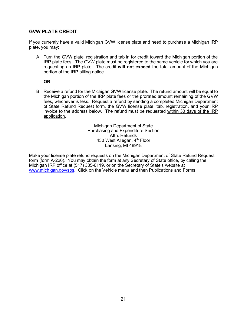## **GVW PLATE CREDIT**

If you currently have a valid Michigan GVW license plate and need to purchase a Michigan IRP plate, you may:

A. Turn the GVW plate, registration and tab in for credit toward the Michigan portion of the IRP plate fees. The GVW plate must be registered to the same vehicle for which you are requesting an IRP plate. The credit **will not exceed** the total amount of the Michigan portion of the IRP billing notice.

#### **OR**

B. Receive a refund for the Michigan GVW license plate. The refund amount will be equal to the Michigan portion of the IRP plate fees or the prorated amount remaining of the GVW fees, whichever is less. Request a refund by sending a completed Michigan Department of State Refund Request form, the GVW license plate, tab, registration, and your IRP invoice to the address below. The refund must be requested within 30 days of the IRP application.

> Michigan Department of State Purchasing and Expenditure Section Attn: Refunds 430 West Allegan, 4<sup>th</sup> Floor Lansing, MI 48918

Make your license plate refund requests on the Michigan Department of State Refund Request form (form A-226). You may obtain the form at any Secretary of State office, by calling the Michigan IRP office at (517) 335-6119, or on the Secretary of State's website at [www.michigan.gov/sos.](http://www.michigan.gov/sos) Click on the Vehicle menu and then Publications and Forms.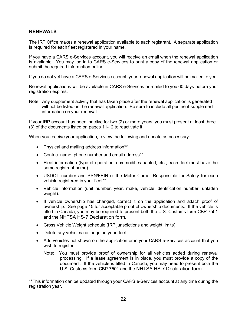## **RENEWALS**

The IRP Office makes a renewal application available to each registrant. A separate application is required for each fleet registered in your name.

If you have a CARS e-Services account, you will receive an email when the renewal application is available. You may log in to CARS e-Services to print a copy of the renewal application or submit the required information online.

If you do not yet have a CARS e-Services account, your renewal application will be mailed to you.

Renewal applications will be available in CARS e-Services or mailed to you 60 days before your registration expires.

Note: Any supplement activity that has taken place after the renewal application is generated will not be listed on the renewal application. Be sure to include all pertinent supplement information on your renewal.

If your IRP account has been inactive for two (2) or more years, you must present at least three (3) of the documents listed on pages 11-12 to reactivate it.

When you receive your application, review the following and update as necessary:

- Physical and mailing address information\*\*
- Contact name, phone number and email address\*\*
- Fleet information (type of operation, commodities hauled, etc.; each fleet must have the same registrant name).
- USDOT number and SSN/FEIN of the Motor Carrier Responsible for Safety for each vehicle registered in your fleet\*\*
- Vehicle information (unit number, year, make, vehicle identification number, unladen weight).
- If vehicle ownership has changed, correct it on the application and attach proof of ownership. See page 15 for acceptable proof of ownership documents. If the vehicle is titled in Canada, you may be required to present both the U.S. Customs form CBP 7501 and the NHTSA HS-7 Declaration form.
- Gross Vehicle Weight schedule (IRP jurisdictions and weight limits)
- Delete any vehicles no longer in your fleet
- Add vehicles not shown on the application or in your CARS e-Services account that you wish to register.
	- Note: You must provide proof of ownership for all vehicles added during renewal processing. If a lease agreement is in place, you must provide a copy of the document. If the vehicle is titled in Canada, you may need to present both the U.S. Customs form CBP 7501 and the NHTSA HS-7 Declaration form.

\*\*This information can be updated through your CARS e-Services account at any time during the registration year.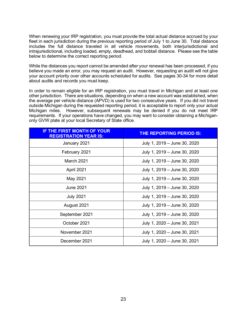When renewing your IRP registration, you must provide the total actual distance accrued by your fleet in each jurisdiction during the previous reporting period of July 1 to June 30. Total distance includes the full distance traveled in all vehicle movements, both interjurisdictional and intrajurisdictional, including loaded, empty, deadhead, and bobtail distance. Please see the table below to determine the correct reporting period.

While the distances you report cannot be amended after your renewal has been processed, if you believe you made an error, you may request an audit. However, requesting an audit will not give your account priority over other accounts scheduled for audits. See pages 30-34 for more detail about audits and records you must keep.

In order to remain eligible for an IRP registration, you must travel in Michigan and at least one other jurisdiction. There are situations, depending on when a new account was established, when the average per vehicle distance (APVD) is used for two consecutive years. If you did not travel outside Michigan during the requested reporting period, it is acceptable to report only your actual Michigan miles. However, subsequent renewals may be denied if you do not meet IRP requirements. If your operations have changed, you may want to consider obtaining a Michiganonly GVW plate at your local Secretary of State office.

| <b>IF THE FIRST MONTH OF YOUR</b><br><b>REGISTRATION YEAR IS:</b> | THE REPORTING PERIOD IS:     |
|-------------------------------------------------------------------|------------------------------|
| January 2021                                                      | July 1, 2019 - June 30, 2020 |
| February 2021                                                     | July 1, 2019 – June 30, 2020 |
| <b>March 2021</b>                                                 | July 1, 2019 - June 30, 2020 |
| April 2021                                                        | July 1, 2019 – June 30, 2020 |
| May 2021                                                          | July 1, 2019 – June 30, 2020 |
| <b>June 2021</b>                                                  | July 1, 2019 - June 30, 2020 |
| <b>July 2021</b>                                                  | July 1, 2019 - June 30, 2020 |
| August 2021                                                       | July 1, 2019 – June 30, 2020 |
| September 2021                                                    | July 1, 2019 - June 30, 2020 |
| October 2021                                                      | July 1, 2020 - June 30, 2021 |
| November 2021                                                     | July 1, 2020 - June 30, 2021 |
| December 2021                                                     | July 1, 2020 - June 30, 2021 |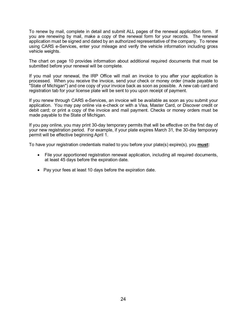To renew by mail, complete in detail and submit ALL pages of the renewal application form. If you are renewing by mail, make a copy of the renewal form for your records. The renewal application must be signed and dated by an authorized representative of the company. To renew using CARS e-Services, enter your mileage and verify the vehicle information including gross vehicle weights.

The chart on page 10 provides information about additional required documents that must be submitted before your renewal will be complete.

If you mail your renewal, the IRP Office will mail an invoice to you after your application is processed. When you receive the invoice, send your check or money order (made payable to "State of Michigan") and one copy of your invoice back as soon as possible. A new cab card and registration tab for your license plate will be sent to you upon receipt of payment.

If you renew through CARS e-Services, an invoice will be available as soon as you submit your application. You may pay online via e-check or with a Visa, Master Card, or Discover credit or debit card; or print a copy of the invoice and mail payment. Checks or money orders must be made payable to the State of Michigan.

If you pay online, you may print 30-day temporary permits that will be effective on the first day of your new registration period. For example, if your plate expires March 31, the 30-day temporary permit will be effective beginning April 1.

To have your registration credentials mailed to you before your plate(s) expire(s), you **must:**

- File your apportioned registration renewal application, including all required documents, at least 45 days before the expiration date.
- Pay your fees at least 10 days before the expiration date.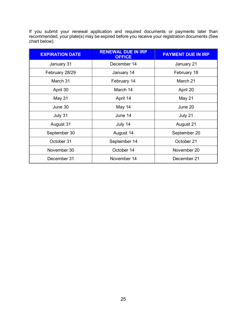If you submit your renewal application and required documents or payments later than recommended, your plate(s) may be expired before you receive your registration documents (See chart below).

| <b>EXPIRATION DATE</b> | <b>RENEWAL DUE IN IRP</b><br><b>OFFICE</b> | <b>PAYMENT DUE IN IRP</b> |  |
|------------------------|--------------------------------------------|---------------------------|--|
| January 31             | December 14                                | January 21                |  |
| February 28/29         | January 14                                 | February 18               |  |
| March 31               | February 14                                | March 21                  |  |
| April 30               | March 14                                   | April 20                  |  |
| May 31                 | April 14                                   | May 21                    |  |
| June 30                | May 14                                     | June 20                   |  |
| July 31                | June 14                                    | July 21                   |  |
| August 31              | July 14                                    | August 21                 |  |
| September 30           | August 14                                  | September 20              |  |
| October 31             | September 14                               | October 21                |  |
| November 30            | October 14                                 | November 20               |  |
| December 31            | November 14                                | December 21               |  |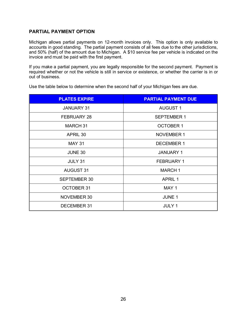## **PARTIAL PAYMENT OPTION**

Michigan allows partial payments on 12-month invoices only. This option is only available to accounts in good standing. The partial payment consists of all fees due to the other jurisdictions, and 50% (half) of the amount due to Michigan. A \$10 service fee per vehicle is indicated on the invoice and must be paid with the first payment.

If you make a partial payment, you are legally responsible for the second payment. Payment is required whether or not the vehicle is still in service or existence, or whether the carrier is in or out of business.

| <b>PLATES EXPIRE</b> | <b>PARTIAL PAYMENT DUE</b> |
|----------------------|----------------------------|
| <b>JANUARY 31</b>    | <b>AUGUST 1</b>            |
| <b>FEBRUARY 28</b>   | <b>SEPTEMBER 1</b>         |
| MARCH <sub>31</sub>  | <b>OCTOBER 1</b>           |
| APRIL 30             | <b>NOVEMBER 1</b>          |
| <b>MAY 31</b>        | <b>DECEMBER 1</b>          |
| <b>JUNE 30</b>       | <b>JANUARY 1</b>           |
| <b>JULY 31</b>       | <b>FEBRUARY 1</b>          |
| <b>AUGUST 31</b>     | <b>MARCH1</b>              |
| <b>SEPTEMBER 30</b>  | <b>APRIL 1</b>             |
| <b>OCTOBER 31</b>    | MAY 1                      |
| NOVEMBER 30          | <b>JUNE 1</b>              |
| DECEMBER 31          | <b>JULY 1</b>              |

Use the table below to determine when the second half of your Michigan fees are due.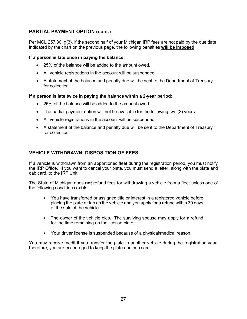## **PARTIAL PAYMENT OPTION (cont.)**

Per MCL 257.801g(3), if the second half of your Michigan IRP fees are not paid by the due date indicated by the chart on the previous page, the following penalties **will be imposed**:

## **If a person is late once in paying the balance:**

- 25% of the balance will be added to the amount owed.
- All vehicle registrations in the account will be suspended.
- A statement of the balance and penalty due will be sent to the Department of Treasury for collection.

## **If a person is late twice in paying the balance within a 2-year period:**

- 25% of the balance will be added to the amount owed.
- The partial payment option will not be available for the following two (2) years.
- All vehicle registrations in the account will be suspended.
- A statement of the balance and penalty due will be sent to the Department of Treasury for collection.

## **VEHICLE WITHDRAWN; DISPOSITION OF FEES**

If a vehicle is withdrawn from an apportioned fleet during the registration period, you must notify the IRP Office. If you want to cancel your plate, you must send a letter, along with the plate and cab card, to the IRP Unit.

The State of Michigan does **not** refund fees for withdrawing a vehicle from a fleet unless one of the following conditions exists:

- You have transferred or assigned title or interest in a registered vehicle before placing the plate or tab on the vehicle and you apply for a refund within 30 days of the sale of the vehicle.
- The owner of the vehicle dies. The surviving spouse may apply for a refund for the time remaining on the license plate.
- Your driver license is suspended because of a physical/medical reason.

You may receive credit if you transfer the plate to another vehicle during the registration year, therefore, you are encouraged to keep the plate and cab card.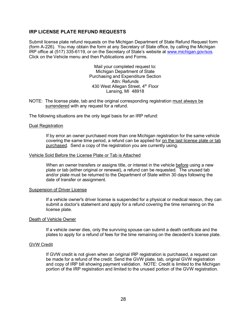## **IRP LICENSE PLATE REFUND REQUESTS**

Submit license plate refund requests on the Michigan Department of State Refund Request form (form A-226). You may obtain the form at any Secretary of State office, by calling the Michigan IRP office at (517) 335-6119, or on the Secretary of State's website at [www.michigan.gov/sos.](http://www.michigan.gov/sos) Click on the Vehicle menu and then Publications and Forms.

> Mail your completed request to: Michigan Department of State Purchasing and Expenditure Section Attn: Refunds 430 West Allegan Street, 4<sup>th</sup> Floor Lansing, MI 48918

NOTE: The license plate, tab and the original corresponding registration must always be surrendered with any request for a refund.

The following situations are the only legal basis for an IRP refund:

#### Dual Registration

If by error an owner purchased more than one Michigan registration for the same vehicle covering the same time period, a refund can be applied for on the last license plate or tab purchased. Send a copy of the registration you are currently using.

#### Vehicle Sold Before the License Plate or Tab is Attached

When an owner transfers or assigns title, or interest in the vehicle before using a new plate or tab (either original or renewal), a refund can be requested. The unused tab and/or plate must be returned to the Department of State within 30 days following the date of transfer or assignment.

#### Suspension of Driver License

If a vehicle owner's driver license is suspended for a physical or medical reason, they can submit a doctor's statement and apply for a refund covering the time remaining on the license plate.

#### Death of Vehicle Owner

If a vehicle owner dies, only the surviving spouse can submit a death certificate and the plates to apply for a refund of fees for the time remaining on the decedent's license plate.

#### GVW Credit

If GVW credit is not given when an original IRP registration is purchased, a request can be made for a refund of the credit. Send the GVW plate, tab, original GVW registration and copy of IRP bill showing payment validation. NOTE: Credit is limited to the Michigan portion of the IRP registration and limited to the unused portion of the GVW registration.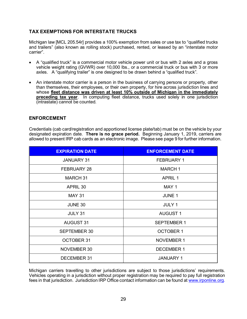## **TAX EXEMPTIONS FOR INTERSTATE TRUCKS**

Michigan law [MCL 205.54r] provides a 100% exemption from sales or use tax to "qualified trucks and trailers" (also known as rolling stock) purchased, rented, or leased by an "interstate motor carrier".

- A "qualified truck" is a commercial motor vehicle power unit or bus with 2 axles and a gross vehicle weight rating (GVWR) over 10,000 lbs., or a commercial truck or bus with 3 or more axles. A "qualifying trailer" is one designed to be drawn behind a "qualified truck".
- An interstate motor carrier is a person in the business of carrying persons or property, other than themselves, their employees, or their own property, for hire across jurisdiction lines and whose **fleet distance was driven at least 10% outside of Michigan in the immediately preceding tax year**. In computing fleet distance, trucks used solely in one jurisdiction (intrastate) cannot be counted.

## **ENFORCEMENT**

Credentials (cab card/registration and apportioned license plate/tab) must be on the vehicle by your designated expiration date. **There is no grace period.** Beginning January 1, 2019, carriers are allowed to present IRP cab cards as an electronic image. Please see page 9 for further information.

| <b>EXPIRATION DATE</b> | <b>ENFORCEMENT DATE</b> |
|------------------------|-------------------------|
| <b>JANUARY 31</b>      | <b>FEBRUARY 1</b>       |
| <b>FEBRUARY 28</b>     | <b>MARCH 1</b>          |
| <b>MARCH 31</b>        | <b>APRIL 1</b>          |
| APRIL 30               | MAY 1                   |
| <b>MAY 31</b>          | <b>JUNE 1</b>           |
| <b>JUNE 30</b>         | <b>JULY 1</b>           |
| JULY 31                | <b>AUGUST 1</b>         |
| <b>AUGUST 31</b>       | <b>SEPTEMBER 1</b>      |
| <b>SEPTEMBER 30</b>    | <b>OCTOBER 1</b>        |
| <b>OCTOBER 31</b>      | <b>NOVEMBER 1</b>       |
| NOVEMBER 30            | <b>DECEMBER 1</b>       |
| DECEMBER 31            | <b>JANUARY 1</b>        |

Michigan carriers travelling to other jurisdictions are subject to those jurisdictions' requirements. Vehicles operating in a jurisdiction without proper registration may be required to pay full registration fees in that jurisdiction. Jurisdiction IRP Office contact information can be found at [www.irponline.org.](http://www.irponline.org/)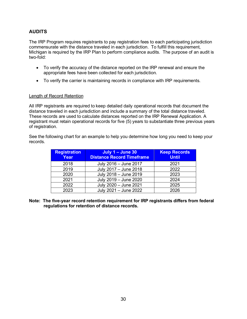## **AUDITS**

The IRP Program requires registrants to pay registration fees to each participating jurisdiction commensurate with the distance traveled in each jurisdiction. To fulfill this requirement, Michigan is required by the IRP Plan to perform compliance audits. The purpose of an audit is two-fold:

- To verify the accuracy of the distance reported on the IRP renewal and ensure the appropriate fees have been collected for each jurisdiction.
- To verify the carrier is maintaining records in compliance with IRP requirements.

#### Length of Record Retention

All IRP registrants are required to keep detailed daily operational records that document the distance traveled in each jurisdiction and include a summary of the total distance traveled. These records are used to calculate distances reported on the IRP Renewal Application. A registrant must retain operational records for five (5) years to substantiate three previous years of registration.

See the following chart for an example to help you determine how long you need to keep your records.

| <b>Registration</b><br>Year | July $1 -$ June 30<br><b>Distance Record Timeframe</b> | <b>Keep Records</b><br><b>Until</b> |
|-----------------------------|--------------------------------------------------------|-------------------------------------|
| 2018                        | July 2016 - June 2017                                  | 2021                                |
| 2019                        | July 2017 - June 2018                                  | 2022                                |
| 2020                        | July 2018 - June 2019                                  | 2023                                |
| 2021                        | July 2019 - June 2020                                  | 2024                                |
| 2022                        | July 2020 - June 2021                                  | 2025                                |
| 2023                        | July 2021 - June 2022                                  | 2026                                |

**Note: The five-year record retention requirement for IRP registrants differs from federal regulations for retention of distance records.**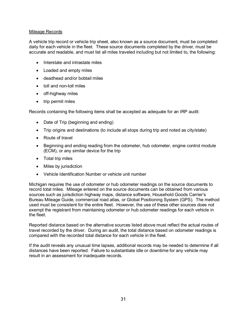#### Mileage Records

A vehicle trip record or vehicle trip sheet, also known as a source document, must be completed daily for each vehicle in the fleet. These source documents completed by the driver, must be accurate and readable, and must list all miles traveled including but not limited to, the following:

- Interstate and intrastate miles
- Loaded and empty miles
- deadhead and/or bobtail miles
- toll and non-toll miles
- off-highway miles
- trip permit miles

Records containing the following items shall be accepted as adequate for an IRP audit:

- Date of Trip (beginning and ending)
- Trip origins and destinations (to include all stops during trip and noted as city/state)
- Route of travel
- Beginning and ending reading from the odometer, hub odometer, engine control module (ECM), or any similar device for the trip
- Total trip miles
- Miles by jurisdiction
- Vehicle Identification Number or vehicle unit number

Michigan requires the use of odometer or hub odometer readings on the source documents to record total miles. Mileage entered on the source documents can be obtained from various sources such as jurisdiction highway maps, distance software, Household Goods Carrier's Bureau Mileage Guide, commercial road atlas, or Global Positioning System (GPS). The method used must be consistent for the entire fleet. However, the use of these other sources does not exempt the registrant from maintaining odometer or hub odometer readings for each vehicle in the fleet.

Reported distance based on the alternative sources listed above must reflect the actual routes of travel recorded by the driver. During an audit, the total distance based on odometer readings is compared with the recorded total distance for each vehicle in the fleet.

If the audit reveals any unusual time lapses, additional records may be needed to determine if all distances have been reported. Failure to substantiate idle or downtime for any vehicle may result in an assessment for inadequate records.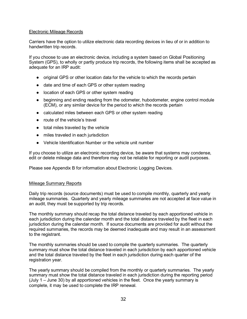#### Electronic Mileage Records

Carriers have the option to utilize electronic data recording devices in lieu of or in addition to handwritten trip records.

If you choose to use an electronic device, including a system based on Global Positioning System (GPS), to wholly or partly produce trip records, the following items shall be accepted as adequate for an IRP audit:

- original GPS or other location data for the vehicle to which the records pertain
- date and time of each GPS or other system reading
- location of each GPS or other system reading
- beginning and ending reading from the odometer, hubodometer, engine control module (ECM), or any similar device for the period to which the records pertain
- calculated miles between each GPS or other system reading
- route of the vehicle's travel
- total miles traveled by the vehicle
- miles traveled in each jurisdiction
- Vehicle Identification Number or the vehicle unit number

If you choose to utilize an electronic recording device, be aware that systems may condense, edit or delete mileage data and therefore may not be reliable for reporting or audit purposes.

Please see Appendix B for information about Electronic Logging Devices.

#### Mileage Summary Reports

Daily trip records (source documents) must be used to compile monthly, quarterly and yearly mileage summaries. Quarterly and yearly mileage summaries are not accepted at face value in an audit, they must be supported by trip records.

The monthly summary should recap the total distance traveled by each apportioned vehicle in each jurisdiction during the calendar month and the total distance traveled by the fleet in each jurisdiction during the calendar month. If source documents are provided for audit without the required summaries, the records may be deemed inadequate and may result in an assessment to the registrant.

The monthly summaries should be used to compile the quarterly summaries. The quarterly summary must show the total distance traveled in each jurisdiction by each apportioned vehicle and the total distance traveled by the fleet in each jurisdiction during each quarter of the registration year.

The yearly summary should be compiled from the monthly or quarterly summaries. The yearly summary must show the total distance traveled in each jurisdiction during the reporting period (July 1 – June 30) by all apportioned vehicles in the fleet. Once the yearly summary is complete, it may be used to complete the IRP renewal.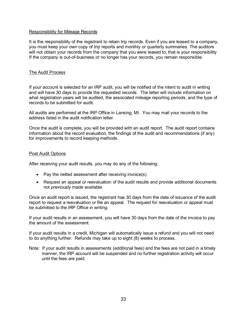#### Responsibility for Mileage Records

It is the responsibility of the registrant to retain trip records. Even if you are leased to a company, you must keep your own copy of trip reports and monthly or quarterly summaries. The auditors will not obtain your records from the company that you were leased to; that is your responsibility. If the company is out-of-business or no longer has your records, you remain responsible.

#### The Audit Process

If your account is selected for an IRP audit, you will be notified of the intent to audit in writing and will have 30 days to provide the requested records. The letter will include information on what registration years will be audited, the associated mileage reporting periods, and the type of records to be submitted for audit.

All audits are performed at the IRP Office in Lansing, MI. You may mail your records to the address listed in the audit notification letter.

Once the audit is complete, you will be provided with an audit report. The audit report contains information about the record evaluation, the findings of the audit and recommendations (if any) for improvements to record keeping methods.

#### Post Audit Options

After receiving your audit results, you may do any of the following:

- Pay the netted assessment after receiving invoice(s)
- Request an appeal or reevaluation of the audit results and provide additional documents not previously made available

Once an audit report is issued, the registrant has 30 days from the date of issuance of the audit report to request a reevaluation or file an appeal. The request for reevaluation or appeal must be submitted to the IRP Office in writing.

If your audit results in an assessment, you will have 30 days from the date of the invoice to pay the amount of the assessment.

If your audit results in a credit, Michigan will automatically issue a refund and you will not need to do anything further. Refunds may take up to eight (8) weeks to process.

Note: If your audit results in assessments (additional fees) and the fees are not paid in a timely manner, the IRP account will be suspended and no further registration activity will occur until the fees are paid.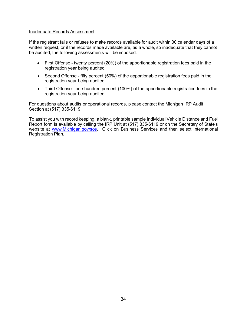#### Inadequate Records Assessment

If the registrant fails or refuses to make records available for audit within 30 calendar days of a written request, or if the records made available are, as a whole, so inadequate that they cannot be audited, the following assessments will be imposed:

- First Offense twenty percent (20%) of the apportionable registration fees paid in the registration year being audited.
- Second Offense fifty percent (50%) of the apportionable registration fees paid in the registration year being audited.
- Third Offense one hundred percent (100%) of the apportionable registration fees in the registration year being audited.

For questions about audits or operational records, please contact the Michigan IRP Audit Section at (517) 335-6119.

To assist you with record keeping, a blank, printable sample Individual Vehicle Distance and Fuel Report form is available by calling the IRP Unit at (517) 335-6119 or on the Secretary of State's website at [www.Michigan.gov/sos.](http://www.michigan.gov/sos) Click on Business Services and then select International Registration Plan.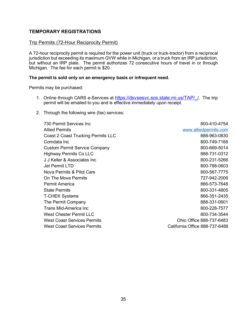## **TEMPORARY REGISTRATIONS**

## Trip Permits (72-Hour Reciprocity Permit)

A 72-hour reciprocity permit is required for the power unit (truck or truck-tractor) from a reciprocal jurisdiction but exceeding its maximum GVW while in Michigan, or a truck from an IRP jurisdiction, but without an IRP plate. The permit authorizes 72 consecutive hours of travel in or through Michigan. The fee for each permit is \$20.

## **The permit is sold only on an emergency basis or infrequent need.**

Permits may be purchased:

- 1. Online through CARS e-Services at https://dsvsesvc.sos.state.mi.us/TAP/ /. The trip permit will be emailed to you and is effective immediately upon receipt.
- 2. Through the following wire (fax) services:

| 800-410-4754                   |
|--------------------------------|
| www.alliedpermits.com          |
| 888-963-0830                   |
| 800-749-7166                   |
| 800-669-5014                   |
| 888-731-0312                   |
| 800-231-5266                   |
| 800-788-0603                   |
| 800-567-7775                   |
| 727-942-2006                   |
| 866-573-7648                   |
| 800-331-4805                   |
| 866-351-2435                   |
| 888-331-0601                   |
| 800-228-7577                   |
| 800-734-3544                   |
| Ohio Office 888-737-6483       |
| California Office 888-737-6488 |
|                                |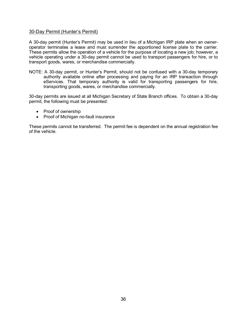#### 30-Day Permit (Hunter's Permit)

A 30-day permit (Hunter's Permit) may be used in lieu of a Michigan IRP plate when an owneroperator terminates a lease and must surrender the apportioned license plate to the carrier. These permits allow the operation of a vehicle for the purpose of locating a new job; however, a vehicle operating under a 30-day permit cannot be used to transport passengers for hire, or to transport goods, wares, or merchandise commercially.

NOTE: A 30-day permit, or Hunter's Permit, should not be confused with a 30-day temporary authority available online after processing and paying for an IRP transaction through eServices. That temporary authority is valid for transporting passengers for hire, transporting goods, wares, or merchandise commercially.

30-day permits are issued at all Michigan Secretary of State Branch offices. To obtain a 30-day permit, the following must be presented:

- Proof of ownership
- Proof of Michigan no-fault insurance

These permits cannot be transferred. The permit fee is dependent on the annual registration fee of the vehicle.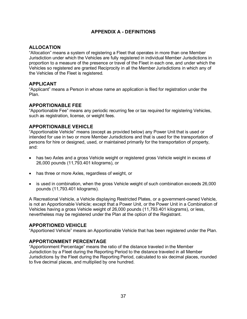## **APPENDIX A - DEFINITIONS**

## **ALLOCATION**

"Allocation" means a system of registering a Fleet that operates in more than one Member Jurisdiction under which the Vehicles are fully registered in individual Member Jurisdictions in proportion to a measure of the presence or travel of the Fleet in each one, and under which the Vehicles so registered are granted Reciprocity in all the Member Jurisdictions in which any of the Vehicles of the Fleet is registered.

## **APPLICANT**

"Applicant" means a Person in whose name an application is filed for registration under the Plan.

## **APPORTIONABLE FEE**

"Apportionable Fee" means any periodic recurring fee or tax required for registering Vehicles, such as registration, license, or weight fees.

## **APPORTIONABLE VEHICLE**

"Apportionable Vehicle" means (except as provided below) any Power Unit that is used or intended for use in two or more Member Jurisdictions and that is used for the transportation of persons for hire or designed, used, or maintained primarily for the transportation of property, and:

- has two Axles and a gross Vehicle weight or registered gross Vehicle weight in excess of 26,000 pounds (11,793.401 kilograms), or
- has three or more Axles, regardless of weight, or
- is used in combination, when the gross Vehicle weight of such combination exceeds 26,000 pounds (11,793.401 kilograms).

A Recreational Vehicle, a Vehicle displaying Restricted Plates, or a government-owned Vehicle, is not an Apportionable Vehicle; except that a Power Unit, or the Power Unit in a Combination of Vehicles having a gross Vehicle weight of 26,000 pounds (11,793.401 kilograms), or less, nevertheless may be registered under the Plan at the option of the Registrant.

#### **APPORTIONED VEHICLE**

"Apportioned Vehicle" means an Apportionable Vehicle that has been registered under the Plan.

## **APPORTIONMENT PERCENTAGE**

"Apportionment Percentage" means the ratio of the distance traveled in the Member Jurisdiction by a Fleet during the Reporting Period to the distance traveled in all Member Jurisdictions by the Fleet during the Reporting Period, calculated to six decimal places, rounded to five decimal places, and multiplied by one hundred.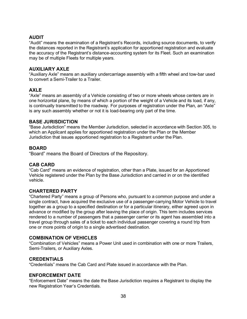## **AUDIT**

"Audit" means the examination of a Registrant's Records, including source documents, to verify the distances reported in the Registrant's application for apportioned registration and evaluate the accuracy of the Registrant's distance-accounting system for its Fleet. Such an examination may be of multiple Fleets for multiple years.

## **AUXILIARY AXLE**

"Auxiliary Axle" means an auxiliary undercarriage assembly with a fifth wheel and tow-bar used to convert a Semi-Trailer to a Trailer.

## **AXLE**

"Axle" means an assembly of a Vehicle consisting of two or more wheels whose centers are in one horizontal plane, by means of which a portion of the weight of a Vehicle and its load, if any, is continually transmitted to the roadway. For purposes of registration under the Plan, an "Axle" is any such assembly whether or not it is load-bearing only part of the time.

## **BASE JURISDICTION**

"Base Jurisdiction" means the Member Jurisdiction, selected in accordance with Section 305, to which an Applicant applies for apportioned registration under the Plan or the Member Jurisdiction that issues apportioned registration to a Registrant under the Plan.

## **BOARD**

"Board" means the Board of Directors of the Repository.

## **CAB CARD**

"Cab Card" means an evidence of registration, other than a Plate, issued for an Apportioned Vehicle registered under the Plan by the Base Jurisdiction and carried in or on the identified vehicle.

## **CHARTERED PARTY**

"Chartered Party" means a group of Persons who, pursuant to a common purpose and under a single contract, have acquired the exclusive use of a passenger-carrying Motor Vehicle to travel together as a group to a specified destination or for a particular itinerary, either agreed upon in advance or modified by the group after leaving the place of origin. This term includes services rendered to a number of passengers that a passenger carrier or its agent has assembled into a travel group through sales of a ticket to each individual passenger covering a round trip from one or more points of origin to a single advertised destination.

## **COMBINATION OF VEHICLES**

"Combination of Vehicles" means a Power Unit used in combination with one or more Trailers, Semi-Trailers, or Auxiliary Axles.

#### **CREDENTIALS**

"Credentials" means the Cab Card and Plate issued in accordance with the Plan.

#### **ENFORCEMENT DATE**

"Enforcement Date" means the date the Base Jurisdiction requires a Registrant to display the new Registration Year's Credentials.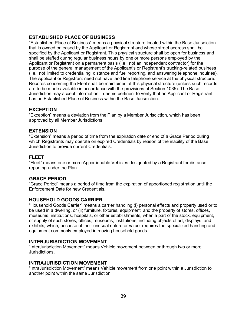## **ESTABLISHED PLACE OF BUSINESS**

"Established Place of Business" means a physical structure located within the Base Jurisdiction that is owned or leased by the Applicant or Registrant and whose street address shall be specified by the Applicant or Registrant. This physical structure shall be open for business and shall be staffed during regular business hours by one or more persons employed by the Applicant or Registrant on a permanent basis (i.e., not an independent contractor) for the purpose of the general management of the Applicant's or Registrant's trucking-related business (i.e., not limited to credentialing, distance and fuel reporting, and answering telephone inquiries). The Applicant or Registrant need not have land line telephone service at the physical structure. Records concerning the Fleet shall be maintained at this physical structure (unless such records are to be made available in accordance with the provisions of Section 1035). The Base Jurisdiction may accept information it deems pertinent to verify that an Applicant or Registrant has an Established Place of Business within the Base Jurisdiction.

## **EXCEPTION**

"Exception" means a deviation from the Plan by a Member Jurisdiction, which has been approved by all Member Jurisdictions.

## **EXTENSION**

"Extension" means a period of time from the expiration date or end of a Grace Period during which Registrants may operate on expired Credentials by reason of the inability of the Base Jurisdiction to provide current Credentials.

## **FLEET**

"Fleet" means one or more Apportionable Vehicles designated by a Registrant for distance reporting under the Plan.

#### **GRACE PERIOD**

"Grace Period" means a period of time from the expiration of apportioned registration until the Enforcement Date for new Credentials.

#### **HOUSEHOLD GOODS CARRIER**

"Household Goods Carrier" means a carrier handling (i) personal effects and property used or to be used in a dwelling, or (ii) furniture, fixtures, equipment, and the property of stores, offices, museums, institutions, hospitals, or other establishments, when a part of the stock, equipment, or supply of such stores, offices, museums, institutions, including objects of art, displays, and exhibits, which, because of their unusual nature or value, requires the specialized handling and equipment commonly employed in moving household goods.

## **INTERJURISDICTION MOVEMENT**

"InterJurisdiction Movement" means Vehicle movement between or through two or more Jurisdictions.

#### **INTRAJURISDICTION MOVEMENT**

"IntraJurisdiction Movement" means Vehicle movement from one point within a Jurisdiction to another point within the same Jurisdiction.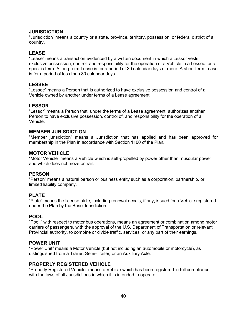## **JURISDICTION**

"Jurisdiction" means a country or a state, province, territory, possession, or federal district of a country.

## **LEASE**

"Lease" means a transaction evidenced by a written document in which a Lessor vests exclusive possession, control, and responsibility for the operation of a Vehicle in a Lessee for a specific term. A long-term Lease is for a period of 30 calendar days or more. A short-term Lease is for a period of less than 30 calendar days.

## **LESSEE**

"Lessee" means a Person that is authorized to have exclusive possession and control of a Vehicle owned by another under terms of a Lease agreement.

## **LESSOR**

"Lessor" means a Person that, under the terms of a Lease agreement, authorizes another Person to have exclusive possession, control of, and responsibility for the operation of a Vehicle.

## **MEMBER JURISDICTION**

"Member jurisdiction" means a Jurisdiction that has applied and has been approved for membership in the Plan in accordance with Section 1100 of the Plan.

#### **MOTOR VEHICLE**

"Motor Vehicle" means a Vehicle which is self-propelled by power other than muscular power and which does not move on rail.

#### **PERSON**

"Person" means a natural person or business entity such as a corporation, partnership, or limited liability company.

## **PLATE**

"Plate" means the license plate, including renewal decals, if any, issued for a Vehicle registered under the Plan by the Base Jurisdiction.

#### **POOL**

"Pool," with respect to motor bus operations, means an agreement or combination among motor carriers of passengers, with the approval of the U.S. Department of Transportation or relevant Provincial authority, to combine or divide traffic, services, or any part of their earnings.

#### **POWER UNIT**

"Power Unit" means a Motor Vehicle (but not including an automobile or motorcycle), as distinguished from a Trailer, Semi-Trailer, or an Auxiliary Axle.

## **PROPERLY REGISTERED VEHICLE**

"Properly Registered Vehicle" means a Vehicle which has been registered in full compliance with the laws of all Jurisdictions in which it is intended to operate.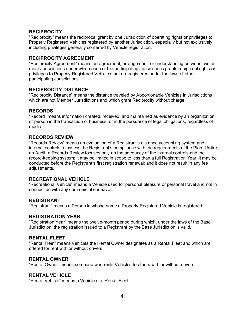## **RECIPROCITY**

"Reciprocity" means the reciprocal grant by one Jurisdiction of operating rights or privileges to Properly Registered Vehicles registered by another Jurisdiction, especially but not exclusively including privileges generally conferred by Vehicle registration.

## **RECIPROCITY AGREEMENT**

"Reciprocity Agreement" means an agreement, arrangement, or understanding between two or more Jurisdictions under which each of the participating Jurisdictions grants reciprocal rights or privileges to Properly Registered Vehicles that are registered under the laws of other participating Jurisdictions.

## **RECIPROCITY DISTANCE**

"Reciprocity Distance" means the distance traveled by Apportionable Vehicles in Jurisdictions which are not Member Jurisdictions and which grant Reciprocity without charge.

#### **RECORDS**

"Record" means information created, received, and maintained as evidence by an organization or person in the transaction of business, or in the pursuance of legal obligations, regardless of media.

#### **RECORDS REVIEW**

"Records Review" means an evaluation of a Registrant's distance accounting system and internal controls to assess the Registrant's compliance with the requirements of the Plan. Unlike an Audit, a Records Review focuses only on the adequacy of the internal controls and the record-keeping system; it may be limited in scope to less than a full Registration Year; it may be conducted before the Registrant's first registration renewal; and it does not result in any fee adjustments.

#### **RECREATIONAL VEHICLE**

"Recreational Vehicle" means a Vehicle used for personal pleasure or personal travel and not in connection with any commercial endeavor.

#### **REGISTRANT**

"Registrant" means a Person in whose name a Properly Registered Vehicle is registered.

#### **REGISTRATION YEAR**

"Registration Year" means the twelve-month period during which, under the laws of the Base Jurisdiction, the registration issued to a Registrant by the Base Jurisdiction is valid.

#### **RENTAL FLEET**

"Rental Fleet" means Vehicles the Rental Owner designates as a Rental Fleet and which are offered for rent with or without drivers.

#### **RENTAL OWNER**

"Rental Owner" means someone who rents Vehicles to others with or without drivers.

#### **RENTAL VEHICLE**

"Rental Vehicle" means a Vehicle of a Rental Fleet.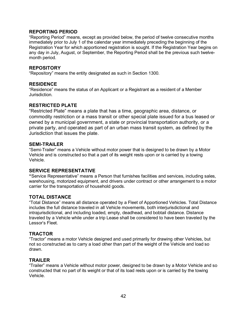## **REPORTING PERIOD**

"Reporting Period" means, except as provided below, the period of twelve consecutive months immediately prior to July 1 of the calendar year immediately preceding the beginning of the Registration Year for which apportioned registration is sought. If the Registration Year begins on any day in July, August, or September, the Reporting Period shall be the previous such twelvemonth period.

#### **REPOSITORY**

"Repository" means the entity designated as such in Section 1300.

#### **RESIDENCE**

"Residence" means the status of an Applicant or a Registrant as a resident of a Member Jurisdiction.

#### **RESTRICTED PLATE**

"Restricted Plate" means a plate that has a time, geographic area, distance, or commodity restriction or a mass transit or other special plate issued for a bus leased or owned by a municipal government, a state or provincial transportation authority, or a private party, and operated as part of an urban mass transit system, as defined by the Jurisdiction that issues the plate.

#### **SEMI-TRAILER**

"Semi-Trailer" means a Vehicle without motor power that is designed to be drawn by a Motor Vehicle and is constructed so that a part of its weight rests upon or is carried by a towing Vehicle.

#### **SERVICE REPRESENTATIVE**

**"**Service Representative" means a Person that furnishes facilities and services, including sales, warehousing, motorized equipment, and drivers under contract or other arrangement to a motor carrier for the transportation of household goods.

#### **TOTAL DISTANCE**

"Total Distance" means all distance operated by a Fleet of Apportioned Vehicles. Total Distance includes the full distance traveled in all Vehicle movements, both interjurisdictional and intrajurisdictional, and including loaded, empty, deadhead, and bobtail distance. Distance traveled by a Vehicle while under a trip Lease shall be considered to have been traveled by the Lessor's Fleet.

#### **TRACTOR**

"Tractor" means a motor Vehicle designed and used primarily for drawing other Vehicles, but not so constructed as to carry a load other than part of the weight of the Vehicle and load so drawn.

#### **TRAILER**

"Trailer" means a Vehicle without motor power, designed to be drawn by a Motor Vehicle and so constructed that no part of its weight or that of its load rests upon or is carried by the towing Vehicle.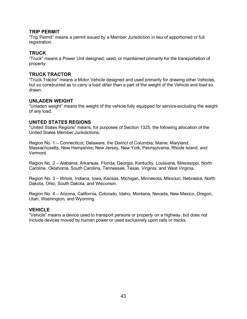#### **TRIP PERMIT**

"Trip Permit" means a permit issued by a Member Jurisdiction in lieu of apportioned or full registration.

## **TRUCK**

"Truck" means a Power Unit designed, used, or maintained primarily for the transportation of property.

#### **TRUCK TRACTOR**

"Truck Tractor" means a Motor Vehicle designed and used primarily for drawing other Vehicles, but so constructed as to carry a load other than a part of the weight of the Vehicle and load so drawn.

## **UNLADEN WEIGHT**

"Unladen weight" means the weight of the vehicle fully equipped for service excluding the weight of any load.

## **UNITED STATES REGIONS**

"United States Regions" means, for purposes of Section 1325, the following allocation of the United States Member Jurisdictions:

Region No. 1 – Connecticut, Delaware, the District of Columbia, Maine, Maryland, Massachusetts, New Hampshire, New Jersey, New York, Pennsylvania, Rhode Island, and Vermont.

Region No. 2 – Alabama, Arkansas, Florida, Georgia, Kentucky, Louisiana, Mississippi, North Caroline, Oklahoma, South Carolina, Tennessee, Texas, Virginia, and West Virginia.

Region No. 3 – Illinois, Indiana, Iowa, Kansas, Michigan, Minnesota, Missouri, Nebraska, North Dakota, Ohio, South Dakota, and Wisconsin.

Region No. 4 – Arizona, California, Colorado, Idaho, Montana, Nevada, New Mexico, Oregon, Utah, Washington, and Wyoming.

## **VEHICLE**

"Vehicle" means a device used to transport persons or property on a highway, but does not include devices moved by human power or used exclusively upon rails or tracks.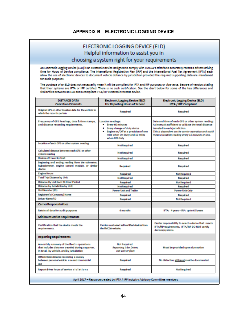## **APPENDIX B – ELECTRONIC LOGGING DEVICE**

|                                                                                                                                              | ELECTRONIC LOGGING DEVICE (ELD)                                                                                                                                              |                                                                                                                                                                                                                                                                                                                                                                                                                                                                                                                                                                                                                                                                                                                  |  |
|----------------------------------------------------------------------------------------------------------------------------------------------|------------------------------------------------------------------------------------------------------------------------------------------------------------------------------|------------------------------------------------------------------------------------------------------------------------------------------------------------------------------------------------------------------------------------------------------------------------------------------------------------------------------------------------------------------------------------------------------------------------------------------------------------------------------------------------------------------------------------------------------------------------------------------------------------------------------------------------------------------------------------------------------------------|--|
| Helpful information to assist you in                                                                                                         |                                                                                                                                                                              |                                                                                                                                                                                                                                                                                                                                                                                                                                                                                                                                                                                                                                                                                                                  |  |
| choosing a system right for your requirements                                                                                                |                                                                                                                                                                              |                                                                                                                                                                                                                                                                                                                                                                                                                                                                                                                                                                                                                                                                                                                  |  |
|                                                                                                                                              |                                                                                                                                                                              |                                                                                                                                                                                                                                                                                                                                                                                                                                                                                                                                                                                                                                                                                                                  |  |
| for audit purposes.<br>similarities between an ELD and a compliant IFTA/IRP electronic records device.                                       |                                                                                                                                                                              | An Electronic Logging Device (ELD) is an electronic device designed to comply with FMCSA's criteria to accurately record a drivers driving<br>time for Hours of Service compliance. The International Registration Plan (IRP) and the International Fuel Tax Agreement (IFTA) each<br>allow the use of electronic devices to document vehicle distance by jurisdiction provided the required supporting data are maintained<br>The purchase of an ELD does not necessarily mean it will be compliant for IFTA and IRP purposes or vice versa. Beware of vendors stating<br>that their systems are IFTA or IRP certified. There is no such certification. See the chart below for some of the key differences and |  |
| <b>DISTANCE DATA</b><br><b>Collection Elements</b>                                                                                           | Electronic Logging Device (ELD)<br>For Reporting Hours of Service                                                                                                            | <b>Electronic Logging Device (ELD)</b><br><b>IFTA / IRP Compliant</b>                                                                                                                                                                                                                                                                                                                                                                                                                                                                                                                                                                                                                                            |  |
| Original GPS or other location data for the vehicle to<br>which the records pertain                                                          | Required                                                                                                                                                                     | Required                                                                                                                                                                                                                                                                                                                                                                                                                                                                                                                                                                                                                                                                                                         |  |
| Frequency of GPS Readings, date & time stamps,<br>and distance recording requirements.                                                       | <b>Location readings:</b><br>· Every 60 minutes<br>. Every change of duty status<br>. Engine on/Off at a precision of one<br>mile when On-Duty and 10 miles<br>when Off-Duty | Date and time of each GPS or other system reading:<br>At intervals sufficient to validate the total distance<br>traveled in each jurisdiction.<br>This is dependent on the carrier operation and could<br>mean a location reading every 15 minutes or less.                                                                                                                                                                                                                                                                                                                                                                                                                                                      |  |
| Location of each GPS or other system reading                                                                                                 | NotReguired                                                                                                                                                                  | Required                                                                                                                                                                                                                                                                                                                                                                                                                                                                                                                                                                                                                                                                                                         |  |
| Calculated distance between each GPS or other<br>system reading                                                                              | NotReguired                                                                                                                                                                  | Reguired                                                                                                                                                                                                                                                                                                                                                                                                                                                                                                                                                                                                                                                                                                         |  |
| <b>Routes of Travel by Unit</b>                                                                                                              | NotReguired                                                                                                                                                                  | Required                                                                                                                                                                                                                                                                                                                                                                                                                                                                                                                                                                                                                                                                                                         |  |
| Beginning and ending reading from the odometer,<br>hubodometer, engine control module, or similar<br>device                                  | Required                                                                                                                                                                     | Required                                                                                                                                                                                                                                                                                                                                                                                                                                                                                                                                                                                                                                                                                                         |  |
| <b>Engine Hours</b>                                                                                                                          | Required                                                                                                                                                                     | NotReguired                                                                                                                                                                                                                                                                                                                                                                                                                                                                                                                                                                                                                                                                                                      |  |
| <b>Total Trip Distance by Unit</b>                                                                                                           | NotReguired                                                                                                                                                                  | Required                                                                                                                                                                                                                                                                                                                                                                                                                                                                                                                                                                                                                                                                                                         |  |
| Distance By Unit Each 24 Hour Period                                                                                                         | Required                                                                                                                                                                     | NotReguired                                                                                                                                                                                                                                                                                                                                                                                                                                                                                                                                                                                                                                                                                                      |  |
| <b>Distance by Jurisdiction by Unit</b>                                                                                                      | NotReguired                                                                                                                                                                  | Required                                                                                                                                                                                                                                                                                                                                                                                                                                                                                                                                                                                                                                                                                                         |  |
| UnitNumber (ID)                                                                                                                              | <b>Power Unit and Trailer</b>                                                                                                                                                | <b>Power Unit Only</b>                                                                                                                                                                                                                                                                                                                                                                                                                                                                                                                                                                                                                                                                                           |  |
| Registrant's (Company) Name                                                                                                                  | Required                                                                                                                                                                     | Required                                                                                                                                                                                                                                                                                                                                                                                                                                                                                                                                                                                                                                                                                                         |  |
| Driver Name/ID                                                                                                                               | Required                                                                                                                                                                     | NotReguired                                                                                                                                                                                                                                                                                                                                                                                                                                                                                                                                                                                                                                                                                                      |  |
| <b>Carrier Responsibilities</b>                                                                                                              |                                                                                                                                                                              |                                                                                                                                                                                                                                                                                                                                                                                                                                                                                                                                                                                                                                                                                                                  |  |
| Retain all data for audit purposes                                                                                                           | 6 months                                                                                                                                                                     | IFTA: 4 years - IRP: up to 6.5 years                                                                                                                                                                                                                                                                                                                                                                                                                                                                                                                                                                                                                                                                             |  |
| <b>Minimum Device Requirements</b>                                                                                                           |                                                                                                                                                                              |                                                                                                                                                                                                                                                                                                                                                                                                                                                                                                                                                                                                                                                                                                                  |  |
| Certification that the device meets the<br>requirements.                                                                                     | Carrier must select self-certified devices from<br>the FMCSA website.                                                                                                        | Carrier responsibility to select a device that meets<br>IFTA/RPrequirements. IFTA/IRP DO NOT certify<br>devices/systems.                                                                                                                                                                                                                                                                                                                                                                                                                                                                                                                                                                                         |  |
| <b>Reporting Requirements</b>                                                                                                                |                                                                                                                                                                              |                                                                                                                                                                                                                                                                                                                                                                                                                                                                                                                                                                                                                                                                                                                  |  |
| Amonthly summary of the fleet's operations<br>that includes distance traveled during a quarter,<br>In total, by vehicle, and by jurisdiction | Not Required.<br>Reporting is by Driver,<br>not unit or fleet                                                                                                                | Must be provided upon due notice                                                                                                                                                                                                                                                                                                                                                                                                                                                                                                                                                                                                                                                                                 |  |
| Differentiate distance recording a couracy<br>between personal vehicle u se and commercial<br><b>LISE</b>                                    | Required                                                                                                                                                                     | No distinction; all travel must be documented.                                                                                                                                                                                                                                                                                                                                                                                                                                                                                                                                                                                                                                                                   |  |
| Report driver hours of service violations                                                                                                    | Required                                                                                                                                                                     | NotReguired                                                                                                                                                                                                                                                                                                                                                                                                                                                                                                                                                                                                                                                                                                      |  |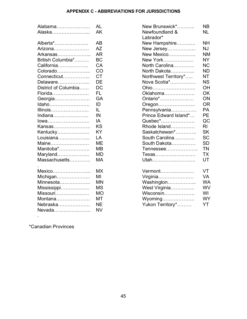## **APPENDIX C - ABBREVIATIONS FOR JURISDICTIONS**

| Alabama              | <b>AL</b> | New Brunswick*              | <b>NB</b>      |
|----------------------|-----------|-----------------------------|----------------|
| Alaska               | AK        | Newfoundland &<br>Labrador* | <b>NL</b>      |
| Alberta*             | AB        | New Hampshire               | <b>NH</b>      |
| Arizona              | AZ        | New Jersey                  | <b>NJ</b>      |
| Arkansas             | <b>AR</b> | New Mexico                  | <b>NM</b>      |
| British Columbia*    | <b>BC</b> | New York                    | <b>NY</b>      |
| California           | CA        | North Carolina              | <b>NC</b>      |
| Colorado             | CO        | North Dakota                | <b>ND</b>      |
| Connecticut          | <b>CT</b> | Northwest Territory*        | NT             |
| Delaware             | DE        | Nova Scotia*                | <b>NS</b>      |
| District of Columbia | <b>DC</b> | Ohio                        | OH             |
| Florida              | FL.       | Oklahoma                    | OK             |
| Georgia              | GA        | Ontario*                    | ON             |
| Idaho                | ID        | Oregon                      | <b>OR</b>      |
| Illinois             | IL        | Pennsylvania                | <b>PA</b>      |
| Indiana              | IN        | Prince Edward Island*       | <b>PE</b>      |
| lowa                 | IA        | Quebec*                     | QC             |
| Kansas               | <b>KS</b> | Rhode Island                | R <sub>l</sub> |
| Kentucky             | <b>KY</b> | Saskatchewan*               | <b>SK</b>      |
| Louisiana            | LA        | South Carolina              | <b>SC</b>      |
| Maine                | <b>ME</b> | South Dakota                | <b>SD</b>      |
| Manitoba*            | <b>MB</b> | Tennessee                   | <b>TN</b>      |
| Maryland             | <b>MD</b> | Texas                       | <b>TX</b>      |
| Massachusetts        | <b>MA</b> | Utah                        | <b>UT</b>      |
| Mexico               | <b>MX</b> | Vermont                     | VT             |
| Michigan             | ΜI        | Virginia                    | <b>VA</b>      |
| Minnesota            | <b>MN</b> | Washington                  | <b>WA</b>      |
| Mississippi          | <b>MS</b> | West Virginia               | <b>WV</b>      |
| Missouri             | <b>MO</b> | Wisconsin                   | WI             |
| Montana              | MT        | Wyoming                     | <b>WY</b>      |
| Nebraska             | <b>NE</b> | Yukon Territory*            | YT             |
| Nevada               | <b>NV</b> |                             |                |
|                      |           |                             |                |

| Alabama…………………       | AL        | New Brunswick*              | NB.       |
|----------------------|-----------|-----------------------------|-----------|
| Alaska……………………       | AK        | Newfoundland &<br>Labrador* | <b>NL</b> |
| Alberta*             | AB        | New Hampshire               | <b>NH</b> |
| Arizona              | AZ        | New Jersey                  | <b>NJ</b> |
| Arkansas…………………      | <b>AR</b> | New Mexico                  | <b>NM</b> |
| British Columbia*    | <b>BC</b> | New York                    | <b>NY</b> |
| California           | CA        | North Carolina              | <b>NC</b> |
| Colorado             | CO        | North Dakota                | <b>ND</b> |
| Connecticut          | <b>CT</b> | Northwest Territory*        | <b>NT</b> |
| Delaware             | DE        | Nova Scotia*                | <b>NS</b> |
| District of Columbia | DC        | Ohio                        | <b>OH</b> |
| Florida              | FL.       | Oklahoma                    | <b>OK</b> |
| Georgia              | GA        | Ontario*                    | ON        |
| Idaho                | ID        | Oregon                      | <b>OR</b> |
| Illinois             | IL        | Pennsylvania                | <b>PA</b> |
| Indiana              | IN        | Prince Edward Island*       | <b>PE</b> |
| lowa                 | IA        | Quebec*                     | QC        |
| Kansas               | <b>KS</b> | Rhode Island                | <b>RI</b> |
| Kentucky             | KY        | Saskatchewan*               | <b>SK</b> |
| Louisiana            | LA        | South Carolina              | <b>SC</b> |
| Maine                | ME        | South Dakota                | <b>SD</b> |
| Manitoba*            | <b>MB</b> | Tennessee                   | <b>TN</b> |
| Maryland             | MD        | Texas                       | <b>TX</b> |
| Massachusetts        | MA        | Utah                        | UT        |
| Mexico               | <b>MX</b> | Vermont                     | VT.       |
| Michigan             | ΜI        | Virginia                    | <b>VA</b> |
| Minnesota            | <b>MN</b> | Washington                  | <b>WA</b> |
| Mississippi          | <b>MS</b> | West Virginia               | WV        |
| Missouri             | <b>MO</b> | Wisconsin                   | WI        |
| Montana              | MT        |                             | <b>WY</b> |
| Nebraska             | <b>NE</b> | Yukon Territory*            | YT        |

\*Canadian Provinces